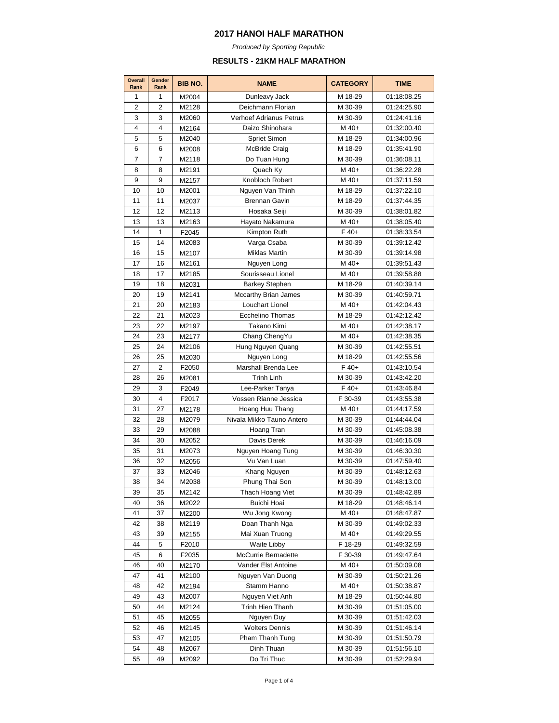## **2017 HANOI HALF MARATHON**

*Produced by Sporting Republic*

| Overall<br>Rank | Gender<br>Rank | BIB NO. | <b>NAME</b>                 | <b>CATEGORY</b> | <b>TIME</b> |
|-----------------|----------------|---------|-----------------------------|-----------------|-------------|
| 1               | 1              | M2004   | Dunleavy Jack               | M 18-29         | 01:18:08.25 |
| 2               | 2              | M2128   | Deichmann Florian           | M 30-39         | 01:24:25.90 |
| 3               | 3              | M2060   | Verhoef Adrianus Petrus     | M 30-39         | 01:24:41.16 |
| $\overline{4}$  | $\overline{4}$ | M2164   | Daizo Shinohara             | M 40+           | 01:32:00.40 |
| 5               | 5              | M2040   | Spriet Simon                | M 18-29         | 01:34:00.96 |
| 6               | 6              | M2008   | McBride Craig               | M 18-29         | 01:35:41.90 |
| 7               | 7              | M2118   | Do Tuan Hung                | M 30-39         | 01:36:08.11 |
| 8               | 8              | M2191   | Quach Ky                    | M 40+           | 01:36:22.28 |
| 9               | 9              | M2157   | Knobloch Robert             | M 40+           | 01:37:11.59 |
| 10              | 10             | M2001   | Nguyen Van Thinh            | M 18-29         | 01:37:22.10 |
| 11              | 11             | M2037   | Brennan Gavin               | M 18-29         | 01:37:44.35 |
| 12              | 12             | M2113   | Hosaka Seiji                | M 30-39         | 01:38:01.82 |
| 13              | 13             | M2163   | Hayato Nakamura             | M 40+           | 01:38:05.40 |
| 14              | 1              | F2045   | Kimpton Ruth                | $F 40+$         | 01:38:33.54 |
| 15              | 14             | M2083   | Varga Csaba                 | M 30-39         | 01:39:12.42 |
| 16              | 15             | M2107   | Miklas Martin               | M 30-39         | 01:39:14.98 |
| 17              | 16             | M2161   | Nguyen Long                 | M 40+           | 01:39:51.43 |
| 18              | 17             | M2185   | Sourisseau Lionel           | M 40+           | 01:39:58.88 |
| 19              | 18             | M2031   | <b>Barkey Stephen</b>       | M 18-29         | 01:40:39.14 |
| 20              | 19             | M2141   | <b>Mccarthy Brian James</b> | M 30-39         | 01:40:59.71 |
| 21              | 20             | M2183   | Louchart Lionel             | M 40+           | 01:42:04.43 |
| 22              | 21             | M2023   | <b>Ecchelino Thomas</b>     | M 18-29         | 01:42:12.42 |
| 23              | 22             | M2197   | Takano Kimi                 | M 40+           | 01:42:38.17 |
| 24              | 23             | M2177   | Chang ChengYu               | M 40+           | 01:42:38.35 |
| 25              | 24             | M2106   | Hung Nguyen Quang           | M 30-39         | 01:42:55.51 |
| 26              | 25             | M2030   | Nguyen Long                 | M 18-29         | 01:42:55.56 |
| 27              | 2              | F2050   | Marshall Brenda Lee         | $F40+$          | 01:43:10.54 |
| 28              | 26             | M2081   | Trinh Linh                  | M 30-39         | 01:43:42.20 |
| 29              | 3              | F2049   | Lee-Parker Tanya            | $F40+$          | 01:43:46.84 |
| 30              | 4              | F2017   | Vossen Rianne Jessica       | F 30-39         | 01:43:55.38 |
| 31              | 27             | M2178   | Hoang Huu Thang             | M 40+           | 01:44:17.59 |
| 32              | 28             | M2079   | Nivala Mikko Tauno Antero   | M 30-39         | 01:44:44.04 |
| 33              | 29             | M2088   | Hoang Tran                  | M 30-39         | 01:45:08.38 |
| 34              | 30             | M2052   | Davis Derek                 | M 30-39         | 01:46:16.09 |
| 35              | 31             | M2073   | Nguyen Hoang Tung           | M 30-39         | 01:46:30.30 |
| 36              | 32             | M2056   | Vu Van Luan                 | M 30-39         | 01:47:59.40 |
| 37              | 33             | M2046   | Khang Nguyen                | M 30-39         | 01:48:12.63 |
| 38              | 34             | M2038   | Phung Thai Son              | M 30-39         | 01:48:13.00 |
| 39              | 35             | M2142   | Thach Hoang Viet            | M 30-39         | 01:48:42.89 |
| 40              | 36             | M2022   | Buichi Hoai                 | M 18-29         | 01:48:46.14 |
| 41              | 37             | M2200   | Wu Jong Kwong               | M 40+           | 01:48:47.87 |
| 42              | 38             | M2119   | Doan Thanh Nga              | M 30-39         | 01:49:02.33 |
| 43              | 39             | M2155   | Mai Xuan Truong             | M 40+           | 01:49:29.55 |
| 44              | 5              | F2010   | <b>Waite Libby</b>          | F 18-29         | 01:49:32.59 |
| 45              | 6              | F2035   | McCurrie Bernadette         | F 30-39         | 01:49:47.64 |
| 46              | 40             | M2170   | Vander Elst Antoine         | M 40+           | 01:50:09.08 |
| 47              | 41             | M2100   | Nguyen Van Duong            | M 30-39         | 01:50:21.26 |
| 48              | 42             | M2194   | Stamm Hanno                 | M 40+           | 01:50:38.87 |
| 49              | 43             | M2007   | Nguyen Viet Anh             | M 18-29         | 01:50:44.80 |
| 50              | 44             | M2124   | Trinh Hien Thanh            | M 30-39         | 01:51:05.00 |
| 51              | 45             | M2055   | Nguyen Duy                  | M 30-39         | 01:51:42.03 |
| 52              | 46             | M2145   | <b>Wolters Dennis</b>       | M 30-39         | 01:51:46.14 |
| 53              | 47             | M2105   | Pham Thanh Tung             | M 30-39         | 01:51:50.79 |
| 54              | 48             | M2067   | Dinh Thuan                  | M 30-39         | 01:51:56.10 |
| 55              | 49             | M2092   | Do Tri Thuc                 | M 30-39         | 01:52:29.94 |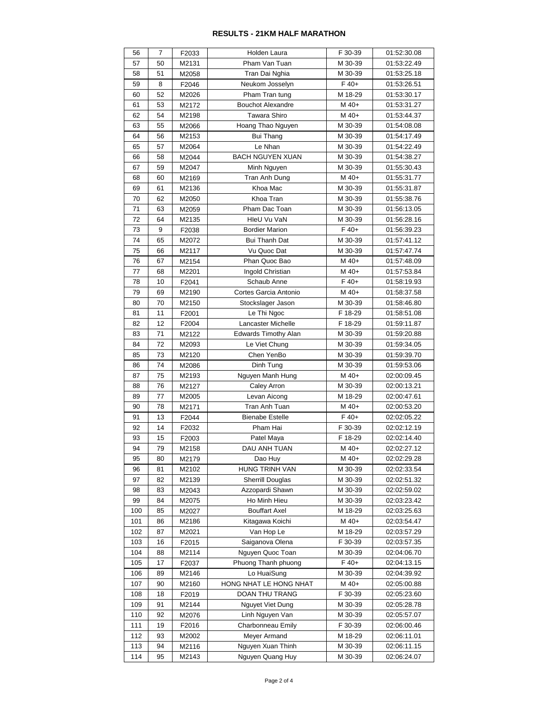| 56  | $\overline{7}$ | F2033 | Holden Laura                | F 30-39 | 01:52:30.08 |
|-----|----------------|-------|-----------------------------|---------|-------------|
| 57  | 50             | M2131 | Pham Van Tuan               | M 30-39 | 01:53:22.49 |
| 58  | 51             | M2058 | Tran Dai Nghia              | M 30-39 | 01:53:25.18 |
| 59  | 8              | F2046 | Neukom Josselyn             | F 40+   | 01:53:26.51 |
| 60  | 52             | M2026 | Pham Tran tung              | M 18-29 | 01:53:30.17 |
| 61  | 53             | M2172 | <b>Bouchot Alexandre</b>    | M 40+   | 01:53:31.27 |
| 62  | 54             | M2198 | Tawara Shiro                | M 40+   | 01:53:44.37 |
| 63  | 55             | M2066 | Hoang Thao Nguyen           | M 30-39 | 01:54:08.08 |
| 64  |                |       |                             |         |             |
|     | 56             | M2153 | Bui Thang                   | M 30-39 | 01:54:17.49 |
| 65  | 57             | M2064 | Le Nhan                     | M 30-39 | 01:54:22.49 |
| 66  | 58             | M2044 | <b>BACH NGUYEN XUAN</b>     | M 30-39 | 01:54:38.27 |
| 67  | 59             | M2047 | Minh Nguyen                 | M 30-39 | 01:55:30.43 |
| 68  | 60             | M2169 | Tran Anh Dung               | M 40+   | 01:55:31.77 |
| 69  | 61             | M2136 | Khoa Mac                    | M 30-39 | 01:55:31.87 |
| 70  | 62             | M2050 | Khoa Tran                   | M 30-39 | 01:55:38.76 |
| 71  | 63             | M2059 | Pham Dac Toan               | M 30-39 | 01:56:13.05 |
| 72  | 64             | M2135 | HleU Vu VaN                 | M 30-39 | 01:56:28.16 |
| 73  | 9              | F2038 | <b>Bordier Marion</b>       | $F40+$  | 01:56:39.23 |
| 74  | 65             | M2072 | Bui Thanh Dat               | M 30-39 | 01:57:41.12 |
| 75  | 66             | M2117 | Vu Quoc Dat                 | M 30-39 | 01:57:47.74 |
| 76  | 67             | M2154 | Phan Quoc Bao               | M 40+   | 01:57:48.09 |
| 77  | 68             | M2201 | Ingold Christian            | M 40+   | 01:57:53.84 |
| 78  | 10             | F2041 | Schaub Anne                 | $F 40+$ | 01:58:19.93 |
| 79  | 69             | M2190 | Cortes Garcia Antonio       | M 40+   | 01:58:37.58 |
| 80  | 70             |       |                             | M 30-39 | 01:58:46.80 |
|     |                | M2150 | Stockslager Jason           |         |             |
| 81  | 11             | F2001 | Le Thi Ngoc                 | F 18-29 | 01:58:51.08 |
| 82  | 12             | F2004 | Lancaster Michelle          | F 18-29 | 01:59:11.87 |
| 83  | 71             | M2122 | <b>Edwards Timothy Alan</b> | M 30-39 | 01:59:20.88 |
| 84  | 72             | M2093 | Le Viet Chung               | M 30-39 | 01:59:34.05 |
| 85  | 73             | M2120 | Chen YenBo                  | M 30-39 | 01:59:39.70 |
| 86  | 74             | M2086 | Dinh Tung                   | M 30-39 | 01:59:53.06 |
| 87  | 75             | M2193 | Nguyen Manh Hung            | M 40+   | 02:00:09.45 |
| 88  | 76             | M2127 | Caley Arron                 | M 30-39 | 02:00:13.21 |
| 89  | 77             | M2005 | Levan Aicong                | M 18-29 | 02:00:47.61 |
| 90  | 78             | M2171 | Tran Anh Tuan               | M 40+   | 02:00:53.20 |
| 91  | 13             | F2044 | <b>Bienabe Estelle</b>      | F 40+   | 02:02:05.22 |
| 92  | 14             | F2032 | Pham Hai                    | F 30-39 | 02:02:12.19 |
| 93  | 15             | F2003 | Patel Maya                  | F 18-29 | 02:02:14.40 |
| 94  | 79             | M2158 | DAU ANH TUAN                | M 40+   | 02:02:27.12 |
| 95  | 80             | M2179 | Dao Huy                     | M 40+   | 02:02:29.28 |
| 96  | 81             | M2102 | HUNG TRINH VAN              | M 30-39 | 02:02:33.54 |
| 97  | 82             | M2139 | <b>Sherrill Douglas</b>     | M 30-39 | 02:02:51.32 |
| 98  | 83             | M2043 | Azzopardi Shawn             | M 30-39 | 02:02:59.02 |
| 99  | 84             | M2075 | Ho Minh Hieu                | M 30-39 |             |
|     |                |       |                             |         | 02:03:23.42 |
| 100 | 85             | M2027 | <b>Bouffart Axel</b>        | M 18-29 | 02:03:25.63 |
| 101 | 86             | M2186 | Kitagawa Koichi             | M 40+   | 02:03:54.47 |
| 102 | 87             | M2021 | Van Hop Le                  | M 18-29 | 02:03:57.29 |
| 103 | 16             | F2015 | Saiganova Olena             | F 30-39 | 02:03:57.35 |
| 104 | 88             | M2114 | Nguyen Quoc Toan            | M 30-39 | 02:04:06.70 |
| 105 | 17             | F2037 | Phuong Thanh phuong         | $F40+$  | 02:04:13.15 |
| 106 | 89             | M2146 | Lo HuaiSung                 | M 30-39 | 02:04:39.92 |
| 107 | 90             | M2160 | HONG NHAT LE HONG NHAT      | M 40+   | 02:05:00.88 |
| 108 | 18             | F2019 | DOAN THU TRANG              | F 30-39 | 02:05:23.60 |
| 109 | 91             | M2144 | <b>Nguyet Viet Dung</b>     | M 30-39 | 02:05:28.78 |
| 110 | 92             | M2076 | Linh Nguyen Van             | M 30-39 | 02:05:57.07 |
| 111 | 19             | F2016 | Charbonneau Emily           | F 30-39 | 02:06:00.46 |
| 112 | 93             | M2002 | Meyer Armand                | M 18-29 | 02:06:11.01 |
| 113 | 94             | M2116 | Nguyen Xuan Thinh           | M 30-39 | 02:06:11.15 |
| 114 | 95             | M2143 | Nguyen Quang Huy            | M 30-39 | 02:06:24.07 |
|     |                |       |                             |         |             |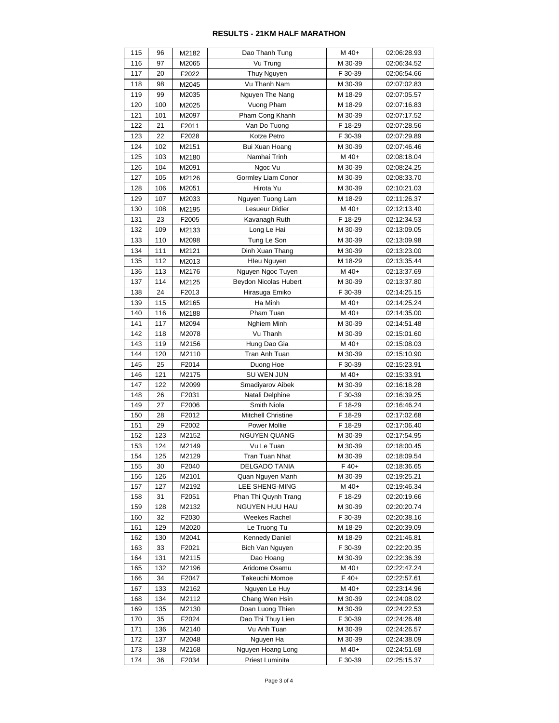| 115 | 96  | M2182 | Dao Thanh Tung            | M 40+   | 02:06:28.93 |
|-----|-----|-------|---------------------------|---------|-------------|
| 116 | 97  | M2065 | Vu Trung                  | M 30-39 | 02:06:34.52 |
| 117 | 20  | F2022 | Thuy Nguyen               | F 30-39 | 02:06:54.66 |
| 118 | 98  | M2045 | Vu Thanh Nam              | M 30-39 | 02:07:02.83 |
| 119 | 99  | M2035 | Nguyen The Nang           | M 18-29 | 02:07:05.57 |
| 120 | 100 | M2025 | Vuong Pham                | M 18-29 | 02:07:16.83 |
| 121 | 101 | M2097 | Pham Cong Khanh           | M 30-39 | 02:07:17.52 |
| 122 | 21  | F2011 | Van Do Tuong              | F 18-29 | 02:07:28.56 |
| 123 | 22  | F2028 | Kotze Petro               | F 30-39 | 02:07:29.89 |
| 124 | 102 |       | Bui Xuan Hoang            | M 30-39 | 02:07:46.46 |
|     |     | M2151 |                           |         |             |
| 125 | 103 | M2180 | Namhai Trinh              | M 40+   | 02:08:18.04 |
| 126 | 104 | M2091 | Ngoc Vu                   | M 30-39 | 02:08:24.25 |
| 127 | 105 | M2126 | Gormley Liam Conor        | M 30-39 | 02:08:33.70 |
| 128 | 106 | M2051 | Hirota Yu                 | M 30-39 | 02:10:21.03 |
| 129 | 107 | M2033 | Nguyen Tuong Lam          | M 18-29 | 02:11:26.37 |
| 130 | 108 | M2195 | Lesueur Didier            | M 40+   | 02:12:13.40 |
| 131 | 23  | F2005 | Kavanagh Ruth             | F 18-29 | 02:12:34.53 |
| 132 | 109 | M2133 | Long Le Hai               | M 30-39 | 02:13:09.05 |
| 133 | 110 | M2098 | Tung Le Son               | M 30-39 | 02:13:09.98 |
| 134 | 111 | M2121 | Dinh Xuan Thang           | M 30-39 | 02:13:23.00 |
| 135 | 112 | M2013 | <b>Hleu Nguyen</b>        | M 18-29 | 02:13:35.44 |
| 136 | 113 | M2176 | Nguyen Ngoc Tuyen         | M 40+   | 02:13:37.69 |
| 137 | 114 | M2125 | Beydon Nicolas Hubert     | M 30-39 | 02:13:37.80 |
| 138 | 24  | F2013 | Hirasuga Emiko            | F 30-39 | 02:14:25.15 |
| 139 | 115 | M2165 | Ha Minh                   | M 40+   | 02:14:25.24 |
| 140 | 116 | M2188 | Pham Tuan                 | M 40+   | 02:14:35.00 |
| 141 | 117 | M2094 | Nghiem Minh               | M 30-39 | 02:14:51.48 |
| 142 | 118 | M2078 | Vu Thanh                  | M 30-39 | 02:15:01.60 |
| 143 | 119 | M2156 | Hung Dao Gia              | M 40+   | 02:15:08.03 |
| 144 | 120 | M2110 | Tran Anh Tuan             | M 30-39 | 02:15:10.90 |
| 145 | 25  | F2014 | Duong Hoe                 | F 30-39 | 02:15:23.91 |
| 146 | 121 | M2175 | SU WEN JUN                | M 40+   | 02:15:33.91 |
|     |     |       |                           |         |             |
| 147 | 122 | M2099 | Smadiyarov Aibek          | M 30-39 | 02:16:18.28 |
| 148 | 26  | F2031 | Natali Delphine           | F 30-39 | 02:16:39.25 |
| 149 | 27  | F2006 | Smith Niola               | F 18-29 | 02:16:46.24 |
| 150 | 28  | F2012 | <b>Mitchell Christine</b> | F 18-29 | 02:17:02.68 |
| 151 | 29  | F2002 | <b>Power Mollie</b>       | F 18-29 | 02:17:06.40 |
| 152 | 123 | M2152 | <b>NGUYEN QUANG</b>       | M 30-39 | 02:17:54.95 |
| 153 | 124 | M2149 | Vu Le Tuan                | M 30-39 | 02:18:00.45 |
| 154 | 125 | M2129 | Tran Tuan Nhat            | M 30-39 | 02:18:09.54 |
| 155 | 30  | F2040 | <b>DELGADO TANIA</b>      | $F40+$  | 02:18:36.65 |
| 156 | 126 | M2101 | Quan Nguyen Manh          | M 30-39 | 02:19:25.21 |
| 157 | 127 | M2192 | LEE SHENG-MING            | M 40+   | 02:19:46.34 |
| 158 | 31  | F2051 | Phan Thi Quynh Trang      | F 18-29 | 02:20:19.66 |
| 159 | 128 | M2132 | NGUYEN HUU HAU            | M 30-39 | 02:20:20.74 |
| 160 | 32  | F2030 | Weekes Rachel             | F 30-39 | 02:20:38.16 |
| 161 | 129 | M2020 | Le Truong Tu              | M 18-29 | 02:20:39.09 |
| 162 | 130 | M2041 | <b>Kennedy Daniel</b>     | M 18-29 | 02:21:46.81 |
| 163 | 33  | F2021 | Bich Van Nguyen           | F 30-39 | 02:22:20.35 |
| 164 | 131 | M2115 | Dao Hoang                 | M 30-39 | 02:22:36.39 |
| 165 | 132 | M2196 | Aridome Osamu             | M 40+   | 02:22:47.24 |
| 166 | 34  | F2047 | Takeuchi Momoe            | F 40+   | 02:22:57.61 |
| 167 | 133 | M2162 | Nguyen Le Huy             | M 40+   | 02:23:14.96 |
| 168 | 134 | M2112 | Chang Wen Hsin            | M 30-39 | 02:24:08.02 |
| 169 | 135 | M2130 | Doan Luong Thien          | M 30-39 | 02:24:22.53 |
| 170 | 35  | F2024 | Dao Thi Thuy Lien         | F 30-39 | 02:24:26.48 |
| 171 | 136 | M2140 | Vu Anh Tuan               | M 30-39 | 02:24:26.57 |
| 172 | 137 | M2048 | Nguyen Ha                 | M 30-39 | 02:24:38.09 |
| 173 | 138 | M2168 | Nguyen Hoang Long         | M 40+   | 02:24:51.68 |
| 174 | 36  | F2034 | Priest Luminita           | F 30-39 | 02:25:15.37 |
|     |     |       |                           |         |             |